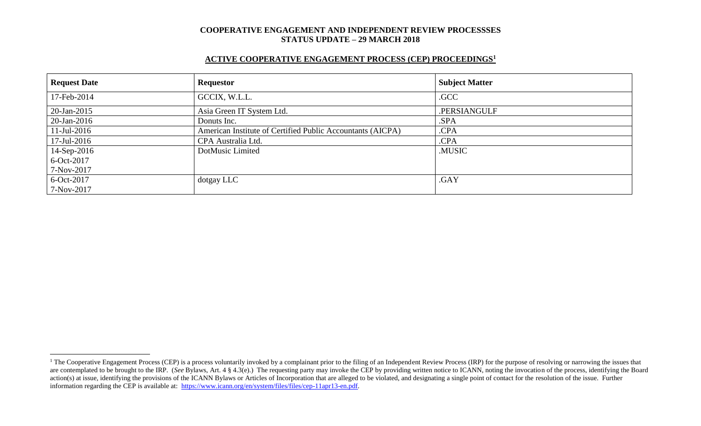# **ACTIVE COOPERATIVE ENGAGEMENT PROCESS (CEP) PROCEEDINGS<sup>1</sup>**

| <b>Request Date</b> | <b>Requestor</b>                                           | <b>Subject Matter</b> |
|---------------------|------------------------------------------------------------|-----------------------|
| 17-Feb-2014         | GCCIX, W.L.L.                                              | .GCC                  |
| 20-Jan-2015         | Asia Green IT System Ltd.                                  | .PERSIANGULF          |
| $20$ -Jan-2016      | Donuts Inc.                                                | .SPA                  |
| $11$ -Jul-2016      | American Institute of Certified Public Accountants (AICPA) | .CPA                  |
| $17$ -Jul-2016      | CPA Australia Ltd.                                         | .CPA                  |
| 14-Sep-2016         | DotMusic Limited                                           | .MUSIC                |
| 6-Oct-2017          |                                                            |                       |
| 7-Nov-2017          |                                                            |                       |
| $6-Oct-2017$        | dotgay LLC                                                 | .GAY                  |
| 7-Nov-2017          |                                                            |                       |

 $\overline{a}$ 

<sup>&</sup>lt;sup>1</sup> The Cooperative Engagement Process (CEP) is a process voluntarily invoked by a complainant prior to the filing of an Independent Review Process (IRP) for the purpose of resolving or narrowing the issues that are contemplated to be brought to the IRP. (*See* Bylaws, Art. 4 § 4.3(e).) The requesting party may invoke the CEP by providing written notice to ICANN, noting the invocation of the process, identifying the Board action(s) at issue, identifying the provisions of the ICANN Bylaws or Articles of Incorporation that are alleged to be violated, and designating a single point of contact for the resolution of the issue. Further information regarding the CEP is available at: [https://www.icann.org/en/system/files/files/cep-11apr13-en.pdf.](https://www.icann.org/en/system/files/files/cep-11apr13-en.pdf)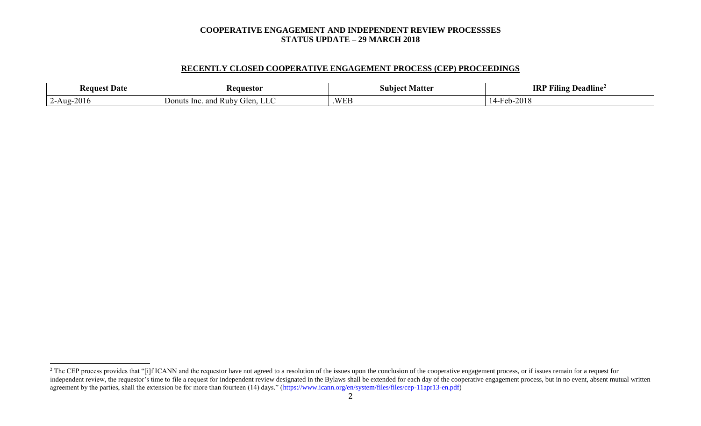# **RECENTLY CLOSED COOPERATIVE ENGAGEMENT PROCESS (CEP) PROCEEDINGS**

| <b>Request</b><br>t Date,           | eauestor                                                              | Mattei<br>-subiect - | $\cdots$<br><b>IRI</b><br>$\mathbf{r}$<br>–<br>Deadline<br>-Filing |
|-------------------------------------|-----------------------------------------------------------------------|----------------------|--------------------------------------------------------------------|
| $\sim$ -Aug-20 <sup>1</sup><br>2010 | and<br>Donuts<br>Glen.<br>Ruby.<br>. н.<br>$\sim$ 1110 $\sim$<br>- Lu | .WEB                 | $\bigwedge$ $\bigwedge$ $\bigwedge$<br>$Heb-Z$<br>∠∪               |

 $\overline{a}$ 

<sup>&</sup>lt;sup>2</sup> The CEP process provides that "[i]f ICANN and the requestor have not agreed to a resolution of the issues upon the conclusion of the cooperative engagement process, or if issues remain for a request for independent review, the requestor's time to file a request for independent review designated in the Bylaws shall be extended for each day of the cooperative engagement process, but in no event, absent mutual written agreement by the parties, shall the extension be for more than fourteen (14) days." (https://www.icann.org/en/system/files/files/cep-11apr13-en.pdf)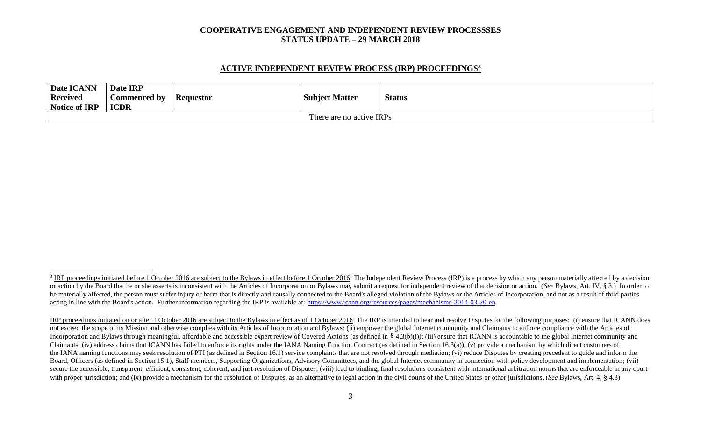#### **ACTIVE INDEPENDENT REVIEW PROCESS (IRP) PROCEEDINGS<sup>3</sup>**

| Date ICANN<br><b>Received</b><br>Notice of IRP | Date IRP<br><b>Commenced by</b><br><b>ICDR</b> | <b>Requestor</b> | <b>Subject Matter</b> | <b>Status</b> |  |  |
|------------------------------------------------|------------------------------------------------|------------------|-----------------------|---------------|--|--|
| There are no active IRPs                       |                                                |                  |                       |               |  |  |

l

<sup>&</sup>lt;sup>3</sup> IRP proceedings initiated before 1 October 2016 are subject to the Bylaws in effect before 1 October 2016: The Independent Review Process (IRP) is a process by which any person materially affected by a decision or action by the Board that he or she asserts is inconsistent with the Articles of Incorporation or Bylaws may submit a request for independent review of that decision or action. (See Bylaws, Art. IV, § 3.) In order to be materially affected, the person must suffer injury or harm that is directly and causally connected to the Board's alleged violation of the Bylaws or the Articles of Incorporation, and not as a result of third parties acting in line with the Board's action. Further information regarding the IRP is available at: [https://www.icann.org/resources/pages/mechanisms-2014-03-20-en.](https://www.icann.org/resources/pages/mechanisms-2014-03-20-en)

IRP proceedings initiated on or after 1 October 2016 are subject to the Bylaws in effect as of 1 October 2016: The IRP is intended to hear and resolve Disputes for the following purposes: (i) ensure that ICANN does not exceed the scope of its Mission and otherwise complies with its Articles of Incorporation and Bylaws; (ii) empower the global Internet community and Claimants to enforce compliance with the Articles of Incorporation and Bylaws through meaningful, affordable and accessible expert review of Covered Actions (as defined in § 4.3(b)(i)); (iii) ensure that ICANN is accountable to the global Internet community and Claimants; (iv) address claims that ICANN has failed to enforce its rights under the IANA Naming Function Contract (as defined in Section 16.3(a)); (v) provide a mechanism by which direct customers of the IANA naming functions may seek resolution of PTI (as defined in Section 16.1) service complaints that are not resolved through mediation; (vi) reduce Disputes by creating precedent to guide and inform the Board, Officers (as defined in Section 15.1), Staff members, Supporting Organizations, Advisory Committees, and the global Internet community in connection with policy development and implementation; (vii) secure the accessible, transparent, efficient, consistent, coherent, and just resolution of Disputes; (viii) lead to binding, final resolutions consistent with international arbitration norms that are enforceable in any co with proper jurisdiction; and (ix) provide a mechanism for the resolution of Disputes, as an alternative to legal action in the civil courts of the United States or other jurisdictions. (*See* Bylaws, Art. 4, § 4.3)